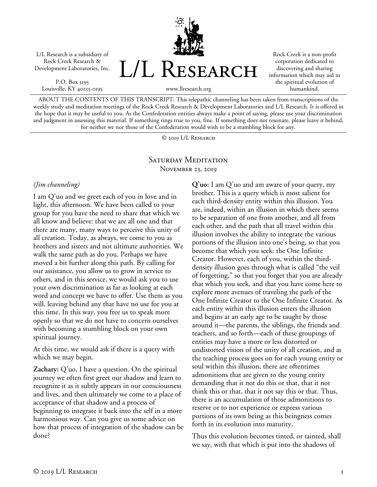L/L Research is a subsidiary of Rock Creek Research & Development Laboratories, Inc.

P.O. Box 5195 Louisville, KY 40255-0195 L/L RESEARCH

Rock Creek is a non-profit corporation dedicated to discovering and sharing information which may aid in the spiritual evolution of humankind.

ABOUT THE CONTENTS OF THIS TRANSCRIPT: This telepathic channeling has been taken from transcriptions of the weekly study and meditation meetings of the Rock Creek Research & Development Laboratories and L/L Research. It is offered in the hope that it may be useful to you. As the Confederation entities always make a point of saying, please use your discrimination and judgment in assessing this material. If something rings true to you, fine. If something does not resonate, please leave it behind, for neither we nor those of the Confederation would wish to be a stumbling block for any.

www.llresearch.org

© 2019 L/L Research

## SATURDAY MEDITATION November 23, 2019

## *(Jim channeling)*

I am Q'uo and we greet each of you in love and in light, this afternoon. We have been called to your group for you have the need to share that which we all know and believe: that we are all one and that there are many, many ways to perceive this unity of all creation. Today, as always, we come to you as brothers and sisters and not ultimate authorities. We walk the same path as do you. Perhaps we have moved a bit further along this path. By calling for our assistance, you allow us to grow in service to others, and in this service, we would ask you to use your own discrimination as far as looking at each word and concept we have to offer. Use them as you will, leaving behind any that have no use for you at this time. In this way, you free us to speak more openly so that we do not have to concern ourselves with becoming a stumbling block on your own spiritual journey.

At this time, we would ask if there is a query with which we may begin.

**Zachary:** Q'uo, I have a question. On the spiritual journey we often first greet our shadow and learn to recognize it as it subtly appears in our consciousness and lives, and then ultimately we come to a place of acceptance of that shadow and a process of beginning to integrate it back into the self in a more harmonious way. Can you give us some advice on how that process of integration of the shadow can be done?

**Q'uo:** I am Q'uo and am aware of your query, my brother. This is a query which is most salient for each third-density entity within this illusion. You are, indeed, within an illusion in which there seems to be separation of one from another, and all from each other, and the path that all travel within this illusion involves the ability to integrate the various portions of the illusion into one's being, so that you become that which you seek: the One Infinite Creator. However, each of you, within the thirddensity illusion goes through what is called "the veil of forgetting," so that you forget that you are already that which you seek, and that you have come here to explore more avenues of traveling the path of the One Infinite Creator to the One Infinite Creator. As each entity within this illusion enters the illusion and begins at an early age to be taught by those around it—the parents, the siblings, the friends and teachers, and so forth—each of these groupings of entities may have a more or less distorted or undistorted vision of the unity of all creation, and as the teaching process goes on for each young entity or soul within this illusion, there are oftentimes admonitions that are given to the young entity demanding that it not do this or that, that it not think this or that, that it not say this or that. Thus, there is an accumulation of those admonitions to reserve or to not experience or express various portions of its own being as this beingness comes forth in its evolution into maturity.

Thus this evolution becomes tinted, or tainted, shall we say, with that which is put into the shadows of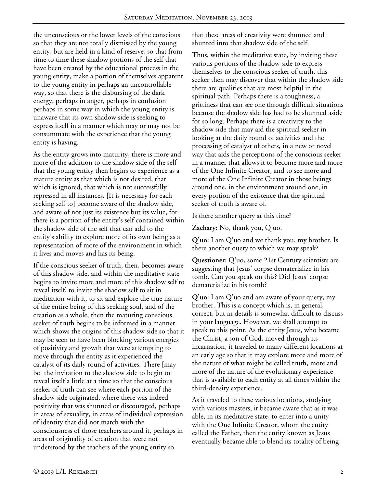the unconscious or the lower levels of the conscious so that they are not totally dismissed by the young entity, but are held in a kind of reserve, so that from time to time these shadow portions of the self that have been created by the educational process in the young entity, make a portion of themselves apparent to the young entity in perhaps an uncontrollable way, so that there is the disbursing of the dark energy, perhaps in anger, perhaps in confusion perhaps in some way in which the young entity is unaware that its own shadow side is seeking to express itself in a manner which may or may not be consummate with the experience that the young entity is having.

As the entity grows into maturity, there is more and more of the addition to the shadow side of the self that the young entity then begins to experience as a mature entity as that which is not desired, that which is ignored, that which is not successfully repressed in all instances. [It is necessary for each seeking self to] become aware of the shadow side, and aware of not just its existence but its value, for there is a portion of the entity's self contained within the shadow side of the self that can add to the entity's ability to explore more of its own being as a representation of more of the environment in which it lives and moves and has its being.

If the conscious seeker of truth, then, becomes aware of this shadow side, and within the meditative state begins to invite more and more of this shadow self to reveal itself, to invite the shadow self to sit in meditation with it, to sit and explore the true nature of the entire being of this seeking soul, and of the creation as a whole, then the maturing conscious seeker of truth begins to be informed in a manner which shows the origins of this shadow side so that it may be seen to have been blocking various energies of positivity and growth that were attempting to move through the entity as it experienced the catalyst of its daily round of activities. There [may be] the invitation to the shadow side to begin to reveal itself a little at a time so that the conscious seeker of truth can see where each portion of the shadow side originated, where there was indeed positivity that was shunned or discouraged, perhaps in areas of sexuality, in areas of individual expression of identity that did not match with the consciousness of those teachers around it, perhaps in areas of originality of creation that were not understood by the teachers of the young entity so

that these areas of creativity were shunned and shunted into that shadow side of the self.

Thus, within the meditative state, by inviting these various portions of the shadow side to express themselves to the conscious seeker of truth, this seeker then may discover that within the shadow side there are qualities that are most helpful in the spiritual path. Perhaps there is a toughness, a grittiness that can see one through difficult situations because the shadow side has had to be shunned aside for so long. Perhaps there is a creativity to the shadow side that may aid the spiritual seeker in looking at the daily round of activities and the processing of catalyst of others, in a new or novel way that aids the perceptions of the conscious seeker in a manner that allows it to become more and more of the One Infinite Creator, and to see more and more of the One Infinite Creator in those beings around one, in the environment around one, in every portion of the existence that the spiritual seeker of truth is aware of.

Is there another query at this time?

**Zachary:** No, thank you, Q'uo.

**Q'uo:** I am Q'uo and we thank you, my brother. Is there another query to which we may speak?

**Questioner:** Q'uo, some 21st Century scientists are suggesting that Jesus' corpse dematerialize in his tomb. Can you speak on this? Did Jesus' corpse dematerialize in his tomb?

**Q'uo:** I am Q'uo and am aware of your query, my brother. This is a concept which is, in general, correct, but in details is somewhat difficult to discuss in your language. However, we shall attempt to speak to this point. As the entity Jesus, who became the Christ, a son of God, moved through its incarnation, it traveled to many different locations at an early age so that it may explore more and more of the nature of what might be called truth, more and more of the nature of the evolutionary experience that is available to each entity at all times within the third-density experience.

As it traveled to these various locations, studying with various masters, it became aware that as it was able, in its meditative state, to enter into a unity with the One Infinite Creator, whom the entity called the Father, then the entity known as Jesus eventually became able to blend its totality of being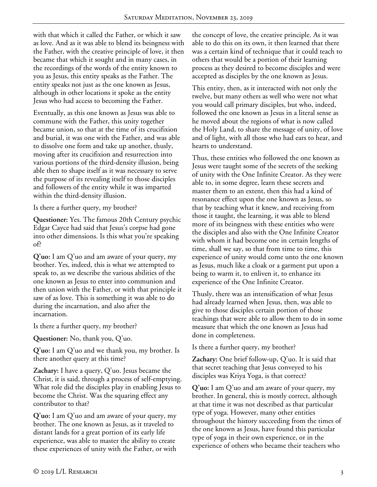with that which it called the Father, or which it saw as love. And as it was able to blend its beingness with the Father, with the creative principle of love, it then became that which it sought and in many cases, in the recordings of the words of the entity known to you as Jesus, this entity speaks as the Father. The entity speaks not just as the one known as Jesus, although in other locations it spoke as the entity Jesus who had access to becoming the Father.

Eventually, as this one known as Jesus was able to commune with the Father, this unity together became union, so that at the time of its crucifixion and burial, it was one with the Father, and was able to dissolve one form and take up another, thusly, moving after its crucifixion and resurrection into various portions of the third-density illusion, being able then to shape itself as it was necessary to serve the purpose of its revealing itself to those disciples and followers of the entity while it was imparted within the third-density illusion.

Is there a further query, my brother?

**Questioner:** Yes. The famous 20th Century psychic Edgar Cayce had said that Jesus's corpse had gone into other dimensions. Is this what you're speaking of?

**Q'uo:** I am Q'uo and am aware of your query, my brother. Yes, indeed, this is what we attempted to speak to, as we describe the various abilities of the one known as Jesus to enter into communion and then union with the Father, or with that principle it saw of as love. This is something it was able to do during the incarnation, and also after the incarnation.

Is there a further query, my brother?

**Questioner:** No, thank you, Q'uo.

**Q'uo:** I am Q'uo and we thank you, my brother. Is there another query at this time?

**Zachary:** I have a query, Q'uo. Jesus became the Christ, it is said, through a process of self-emptying. What role did the disciples play in enabling Jesus to become the Christ. Was the squaring effect any contributor to that?

**Q'uo:** I am Q'uo and am aware of your query, my brother. The one known as Jesus, as it traveled to distant lands for a great portion of its early life experience, was able to master the ability to create these experiences of unity with the Father, or with

the concept of love, the creative principle. As it was able to do this on its own, it then learned that there was a certain kind of technique that it could teach to others that would be a portion of their learning process as they desired to become disciples and were accepted as disciples by the one known as Jesus.

This entity, then, as it interacted with not only the twelve, but many others as well who were not what you would call primary disciples, but who, indeed, followed the one known as Jesus in a literal sense as he moved about the regions of what is now called the Holy Land, to share the message of unity, of love and of light, with all those who had ears to hear, and hearts to understand.

Thus, these entities who followed the one known as Jesus were taught some of the secrets of the seeking of unity with the One Infinite Creator. As they were able to, in some degree, learn these secrets and master them to an extent, then this had a kind of resonance effect upon the one known as Jesus, so that by teaching what it knew, and receiving from those it taught, the learning, it was able to blend more of its beingness with these entities who were the disciples and also with the One Infinite Creator with whom it had become one in certain lengths of time, shall we say, so that from time to time, this experience of unity would come unto the one known as Jesus, much like a cloak or a garment put upon a being to warm it, to enliven it, to enhance its experience of the One Infinite Creator.

Thusly, there was an intensification of what Jesus had already learned when Jesus, then, was able to give to those disciples certain portion of those teachings that were able to allow them to do in some measure that which the one known as Jesus had done in completeness.

Is there a further query, my brother?

**Zachary:** One brief follow-up, Q'uo. It is said that that secret teaching that Jesus conveyed to his disciples was Kriya Yoga, is that correct?

**Q'uo:** I am Q'uo and am aware of your query, my brother. In general, this is mostly correct, although at that time it was not described as that particular type of yoga. However, many other entities throughout the history succeeding from the times of the one known as Jesus, have found this particular type of yoga in their own experience, or in the experience of others who became their teachers who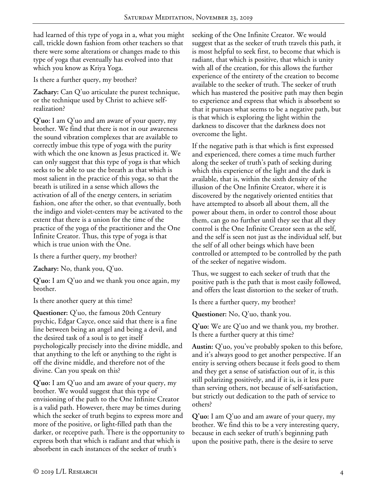had learned of this type of yoga in a, what you might call, trickle down fashion from other teachers so that there were some alterations or changes made to this type of yoga that eventually has evolved into that which you know as Kriya Yoga.

Is there a further query, my brother?

**Zachary:** Can Q'uo articulate the purest technique, or the technique used by Christ to achieve selfrealization?

**Q'uo:** I am Q'uo and am aware of your query, my brother. We find that there is not in our awareness the sound vibration complexes that are available to correctly imbue this type of yoga with the purity with which the one known as Jesus practiced it. We can only suggest that this type of yoga is that which seeks to be able to use the breath as that which is most salient in the practice of this yoga, so that the breath is utilized in a sense which allows the activation of all of the energy centers, in seriatim fashion, one after the other, so that eventually, both the indigo and violet-centers may be activated to the extent that there is a union for the time of the practice of the yoga of the practitioner and the One Infinite Creator. Thus, this type of yoga is that which is true union with the One.

Is there a further query, my brother?

**Zachary:** No, thank you, Q'uo.

**Q'uo:** I am Q'uo and we thank you once again, my brother.

Is there another query at this time?

**Questioner:** Q'uo, the famous 20th Century psychic, Edgar Cayce, once said that there is a fine line between being an angel and being a devil, and the desired task of a soul is to get itself psychologically precisely into the divine middle, and that anything to the left or anything to the right is off the divine middle, and therefore not of the divine. Can you speak on this?

**Q'uo:** I am Q'uo and am aware of your query, my brother. We would suggest that this type of envisioning of the path to the One Infinite Creator is a valid path. However, there may be times during which the seeker of truth begins to express more and more of the positive, or light-filled path than the darker, or receptive path. There is the opportunity to express both that which is radiant and that which is absorbent in each instances of the seeker of truth's

seeking of the One Infinite Creator. We would suggest that as the seeker of truth travels this path, it is most helpful to seek first, to become that which is radiant, that which is positive, that which is unity with all of the creation, for this allows the further experience of the entirety of the creation to become available to the seeker of truth. The seeker of truth which has mastered the positive path may then begin to experience and express that which is absorbent so that it pursues what seems to be a negative path, but is that which is exploring the light within the darkness to discover that the darkness does not overcome the light.

If the negative path is that which is first expressed and experienced, there comes a time much further along the seeker of truth's path of seeking during which this experience of the light and the dark is available, that is, within the sixth density of the illusion of the One Infinite Creator, where it is discovered by the negatively oriented entities that have attempted to absorb all about them, all the power about them, in order to control those about them, can go no further until they see that all they control is the One Infinite Creator seen as the self, and the self is seen not just as the individual self, but the self of all other beings which have been controlled or attempted to be controlled by the path of the seeker of negative wisdom.

Thus, we suggest to each seeker of truth that the positive path is the path that is most easily followed, and offers the least distortion to the seeker of truth.

Is there a further query, my brother?

**Questioner:** No, Q'uo, thank you.

**Q'uo:** We are Q'uo and we thank you, my brother. Is there a further query at this time?

**Austin:** Q'uo, you've probably spoken to this before, and it's always good to get another perspective. If an entity is serving others because it feels good to them and they get a sense of satisfaction out of it, is this still polarizing positively, and if it is, is it less pure than serving others, not because of self-satisfaction, but strictly out dedication to the path of service to others?

**Q'uo:** I am Q'uo and am aware of your query, my brother. We find this to be a very interesting query, because in each seeker of truth's beginning path upon the positive path, there is the desire to serve